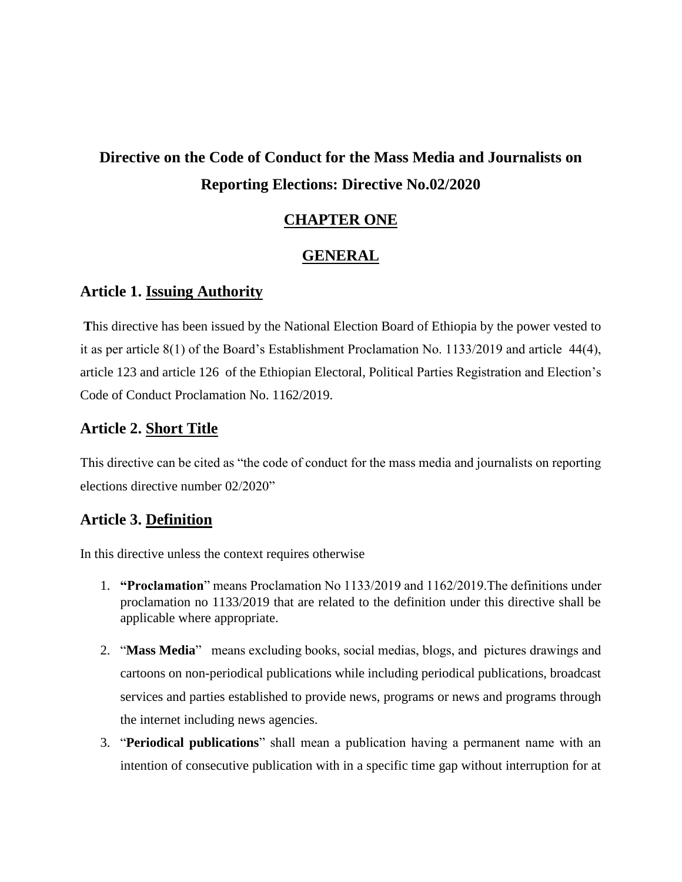# **Directive on the Code of Conduct for the Mass Media and Journalists on Reporting Elections: Directive No.02/2020**

#### **CHAPTER ONE**

#### **GENERAL**

#### **Article 1. Issuing Authority**

**T**his directive has been issued by the National Election Board of Ethiopia by the power vested to it as per article 8(1) of the Board's Establishment Proclamation No. 1133/2019 and article 44(4), article 123 and article 126 of the Ethiopian Electoral, Political Parties Registration and Election's Code of Conduct Proclamation No. 1162/2019.

#### **Article 2. Short Title**

This directive can be cited as "the code of conduct for the mass media and journalists on reporting elections directive number 02/2020"

## **Article 3. Definition**

In this directive unless the context requires otherwise

- 1. **"Proclamation**" means Proclamation No 1133/2019 and 1162/2019.The definitions under proclamation no 1133/2019 that are related to the definition under this directive shall be applicable where appropriate.
- 2. "**Mass Media**" means excluding books, social medias, blogs, and pictures drawings and cartoons on non-periodical publications while including periodical publications, broadcast services and parties established to provide news, programs or news and programs through the internet including news agencies.
- 3. "**Periodical publications**" shall mean a publication having a permanent name with an intention of consecutive publication with in a specific time gap without interruption for at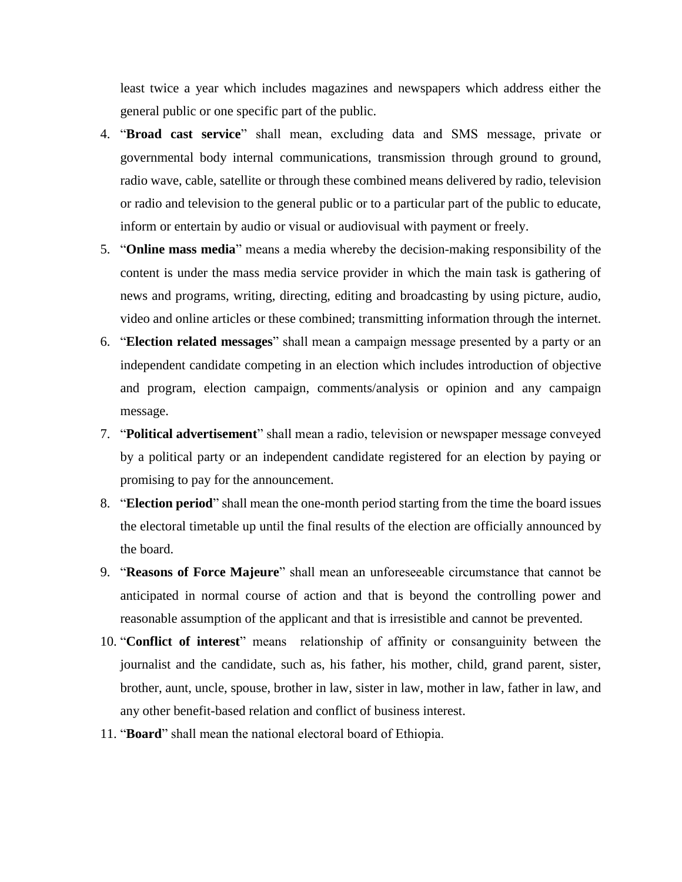least twice a year which includes magazines and newspapers which address either the general public or one specific part of the public.

- 4. "**Broad cast service**" shall mean, excluding data and SMS message, private or governmental body internal communications, transmission through ground to ground, radio wave, cable, satellite or through these combined means delivered by radio, television or radio and television to the general public or to a particular part of the public to educate, inform or entertain by audio or visual or audiovisual with payment or freely.
- 5. "**Online mass media**" means a media whereby the decision-making responsibility of the content is under the mass media service provider in which the main task is gathering of news and programs, writing, directing, editing and broadcasting by using picture, audio, video and online articles or these combined; transmitting information through the internet.
- 6. "**Election related messages**" shall mean a campaign message presented by a party or an independent candidate competing in an election which includes introduction of objective and program, election campaign, comments/analysis or opinion and any campaign message.
- 7. "**Political advertisement**" shall mean a radio, television or newspaper message conveyed by a political party or an independent candidate registered for an election by paying or promising to pay for the announcement.
- 8. "**Election period**" shall mean the one-month period starting from the time the board issues the electoral timetable up until the final results of the election are officially announced by the board.
- 9. "**Reasons of Force Majeure**" shall mean an unforeseeable circumstance that cannot be anticipated in normal course of action and that is beyond the controlling power and reasonable assumption of the applicant and that is irresistible and cannot be prevented.
- 10. "**Conflict of interest**" means relationship of affinity or consanguinity between the journalist and the candidate, such as, his father, his mother, child, grand parent, sister, brother, aunt, uncle, spouse, brother in law, sister in law, mother in law, father in law, and any other benefit-based relation and conflict of business interest.
- 11. "**Board**" shall mean the national electoral board of Ethiopia.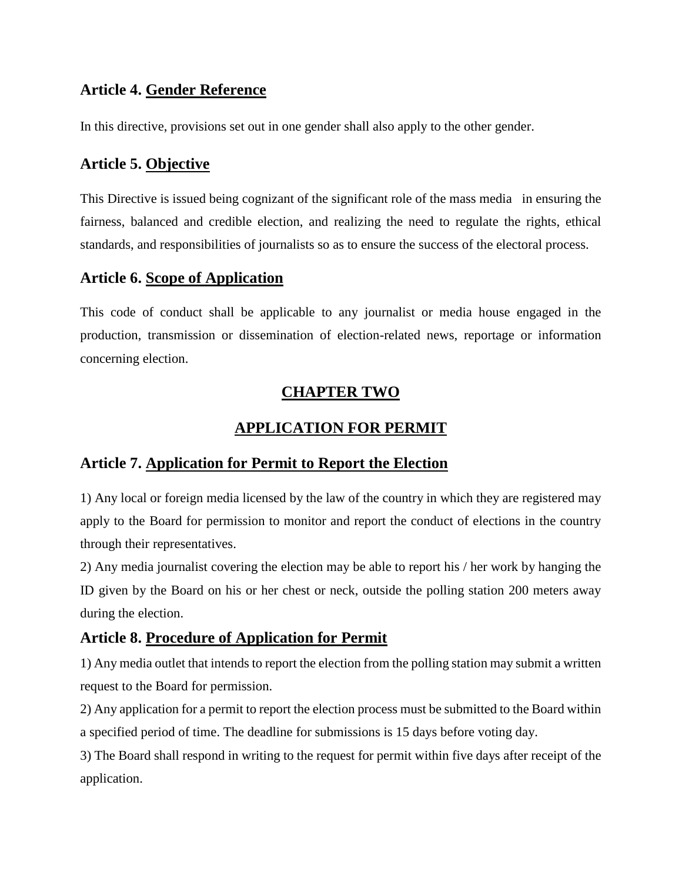### **Article 4. Gender Reference**

In this directive, provisions set out in one gender shall also apply to the other gender.

### **Article 5. Objective**

This Directive is issued being cognizant of the significant role of the mass media in ensuring the fairness, balanced and credible election, and realizing the need to regulate the rights, ethical standards, and responsibilities of journalists so as to ensure the success of the electoral process.

#### **Article 6. Scope of Application**

This code of conduct shall be applicable to any journalist or media house engaged in the production, transmission or dissemination of election-related news, reportage or information concerning election.

#### **CHAPTER TWO**

### **APPLICATION FOR PERMIT**

#### **Article 7. Application for Permit to Report the Election**

1) Any local or foreign media licensed by the law of the country in which they are registered may apply to the Board for permission to monitor and report the conduct of elections in the country through their representatives.

2) Any media journalist covering the election may be able to report his / her work by hanging the ID given by the Board on his or her chest or neck, outside the polling station 200 meters away during the election.

#### **Article 8. Procedure of Application for Permit**

1) Any media outlet that intends to report the election from the polling station may submit a written request to the Board for permission.

2) Any application for a permit to report the election process must be submitted to the Board within a specified period of time. The deadline for submissions is 15 days before voting day.

3) The Board shall respond in writing to the request for permit within five days after receipt of the application.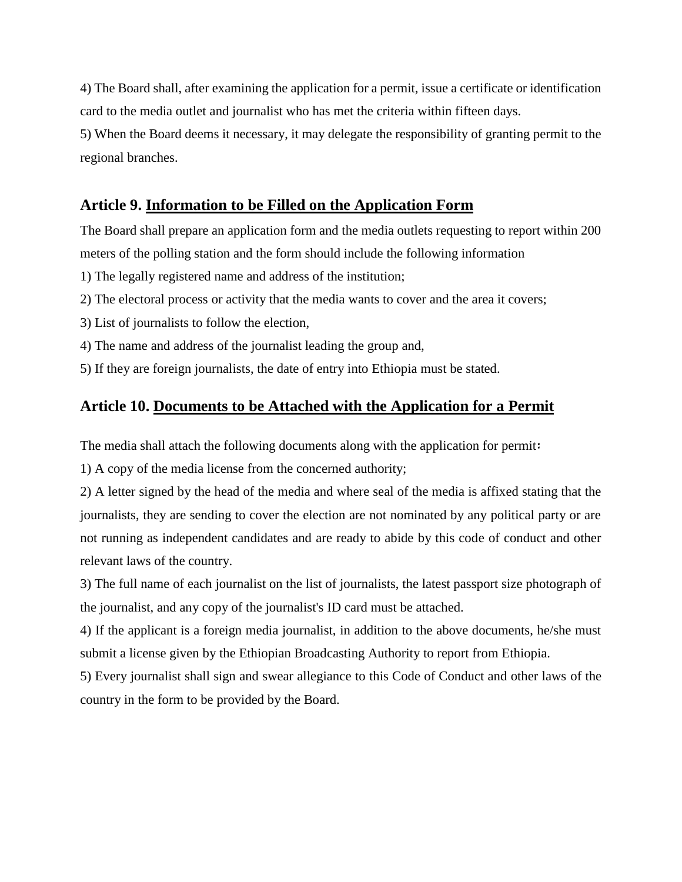4) The Board shall, after examining the application for a permit, issue a certificate or identification card to the media outlet and journalist who has met the criteria within fifteen days.

5) When the Board deems it necessary, it may delegate the responsibility of granting permit to the regional branches.

## **Article 9. Information to be Filled on the Application Form**

The Board shall prepare an application form and the media outlets requesting to report within 200 meters of the polling station and the form should include the following information

- 1) The legally registered name and address of the institution;
- 2) The electoral process or activity that the media wants to cover and the area it covers;
- 3) List of journalists to follow the election,
- 4) The name and address of the journalist leading the group and,
- 5) If they are foreign journalists, the date of entry into Ethiopia must be stated.

#### **Article 10. Documents to be Attached with the Application for a Permit**

The media shall attach the following documents along with the application for permit፡

1) A copy of the media license from the concerned authority;

2) A letter signed by the head of the media and where seal of the media is affixed stating that the journalists, they are sending to cover the election are not nominated by any political party or are not running as independent candidates and are ready to abide by this code of conduct and other relevant laws of the country.

3) The full name of each journalist on the list of journalists, the latest passport size photograph of the journalist, and any copy of the journalist's ID card must be attached.

4) If the applicant is a foreign media journalist, in addition to the above documents, he/she must submit a license given by the Ethiopian Broadcasting Authority to report from Ethiopia.

5) Every journalist shall sign and swear allegiance to this Code of Conduct and other laws of the country in the form to be provided by the Board.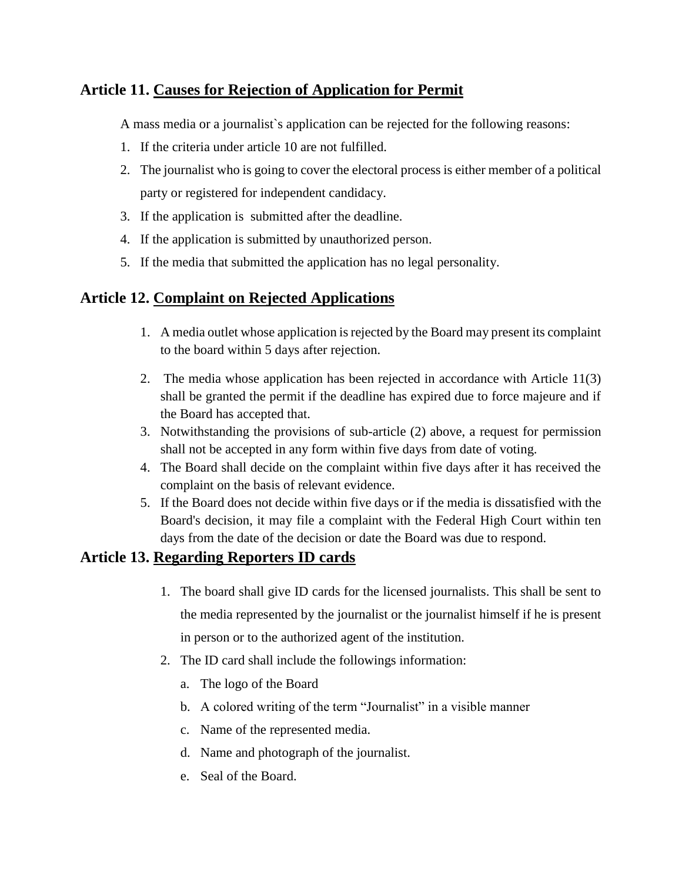### **Article 11. Causes for Rejection of Application for Permit**

A mass media or a journalist`s application can be rejected for the following reasons:

- 1. If the criteria under article 10 are not fulfilled.
- 2. The journalist who is going to cover the electoral process is either member of a political party or registered for independent candidacy.
- 3. If the application is submitted after the deadline.
- 4. If the application is submitted by unauthorized person.
- 5. If the media that submitted the application has no legal personality.

#### **Article 12. Complaint on Rejected Applications**

- 1. A media outlet whose application is rejected by the Board may present its complaint to the board within 5 days after rejection.
- 2. The media whose application has been rejected in accordance with Article 11(3) shall be granted the permit if the deadline has expired due to force majeure and if the Board has accepted that.
- 3. Notwithstanding the provisions of sub-article (2) above, a request for permission shall not be accepted in any form within five days from date of voting.
- 4. The Board shall decide on the complaint within five days after it has received the complaint on the basis of relevant evidence.
- 5. If the Board does not decide within five days or if the media is dissatisfied with the Board's decision, it may file a complaint with the Federal High Court within ten days from the date of the decision or date the Board was due to respond.

#### **Article 13. Regarding Reporters ID cards**

- 1. The board shall give ID cards for the licensed journalists. This shall be sent to the media represented by the journalist or the journalist himself if he is present in person or to the authorized agent of the institution.
- 2. The ID card shall include the followings information:
	- a. The logo of the Board
	- b. A colored writing of the term "Journalist" in a visible manner
	- c. Name of the represented media.
	- d. Name and photograph of the journalist.
	- e. Seal of the Board.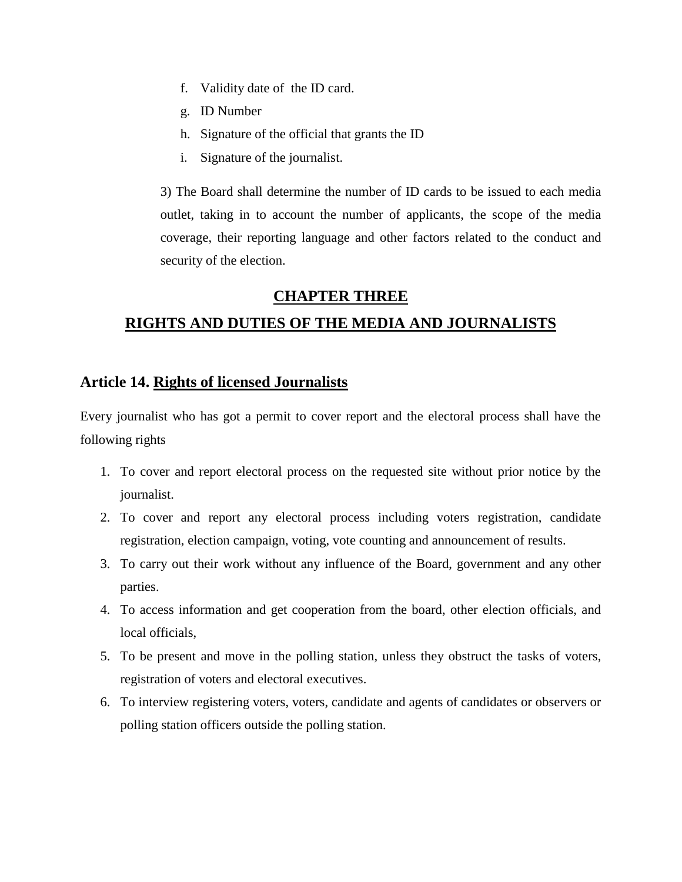- f. Validity date of the ID card.
- g. ID Number
- h. Signature of the official that grants the ID
- i. Signature of the journalist.

3) The Board shall determine the number of ID cards to be issued to each media outlet, taking in to account the number of applicants, the scope of the media coverage, their reporting language and other factors related to the conduct and security of the election.

#### **CHAPTER THREE**

## **RIGHTS AND DUTIES OF THE MEDIA AND JOURNALISTS**

#### **Article 14. Rights of licensed Journalists**

Every journalist who has got a permit to cover report and the electoral process shall have the following rights

- 1. To cover and report electoral process on the requested site without prior notice by the journalist.
- 2. To cover and report any electoral process including voters registration, candidate registration, election campaign, voting, vote counting and announcement of results.
- 3. To carry out their work without any influence of the Board, government and any other parties.
- 4. To access information and get cooperation from the board, other election officials, and local officials,
- 5. To be present and move in the polling station, unless they obstruct the tasks of voters, registration of voters and electoral executives.
- 6. To interview registering voters, voters, candidate and agents of candidates or observers or polling station officers outside the polling station.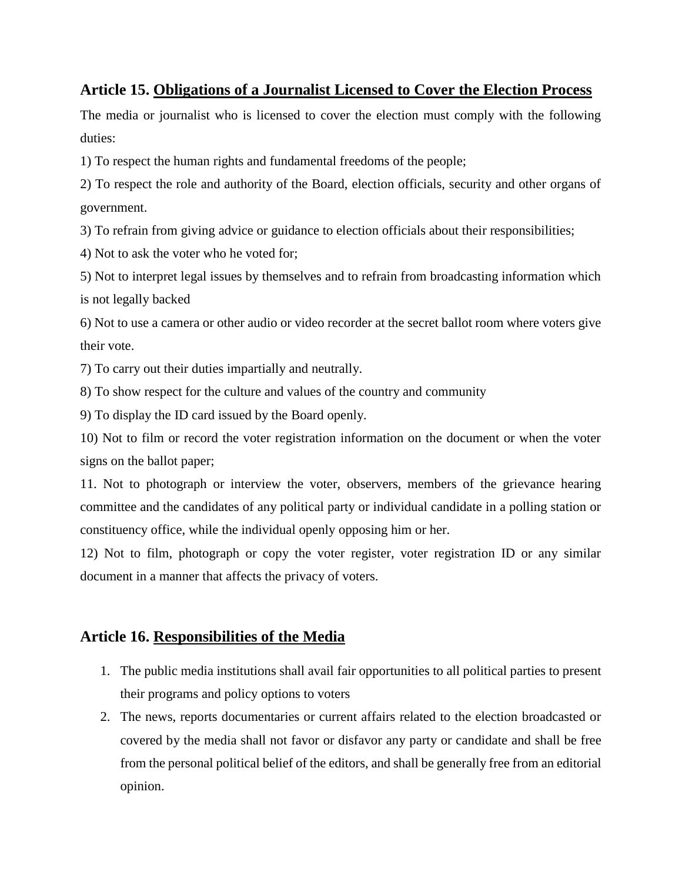#### **Article 15. Obligations of a Journalist Licensed to Cover the Election Process**

The media or journalist who is licensed to cover the election must comply with the following duties:

1) To respect the human rights and fundamental freedoms of the people;

2) To respect the role and authority of the Board, election officials, security and other organs of government.

3) To refrain from giving advice or guidance to election officials about their responsibilities;

4) Not to ask the voter who he voted for;

5) Not to interpret legal issues by themselves and to refrain from broadcasting information which is not legally backed

6) Not to use a camera or other audio or video recorder at the secret ballot room where voters give their vote.

7) To carry out their duties impartially and neutrally.

8) To show respect for the culture and values of the country and community

9) To display the ID card issued by the Board openly.

10) Not to film or record the voter registration information on the document or when the voter signs on the ballot paper;

11. Not to photograph or interview the voter, observers, members of the grievance hearing committee and the candidates of any political party or individual candidate in a polling station or constituency office, while the individual openly opposing him or her.

12) Not to film, photograph or copy the voter register, voter registration ID or any similar document in a manner that affects the privacy of voters.

## **Article 16. Responsibilities of the Media**

- 1. The public media institutions shall avail fair opportunities to all political parties to present their programs and policy options to voters
- 2. The news, reports documentaries or current affairs related to the election broadcasted or covered by the media shall not favor or disfavor any party or candidate and shall be free from the personal political belief of the editors, and shall be generally free from an editorial opinion.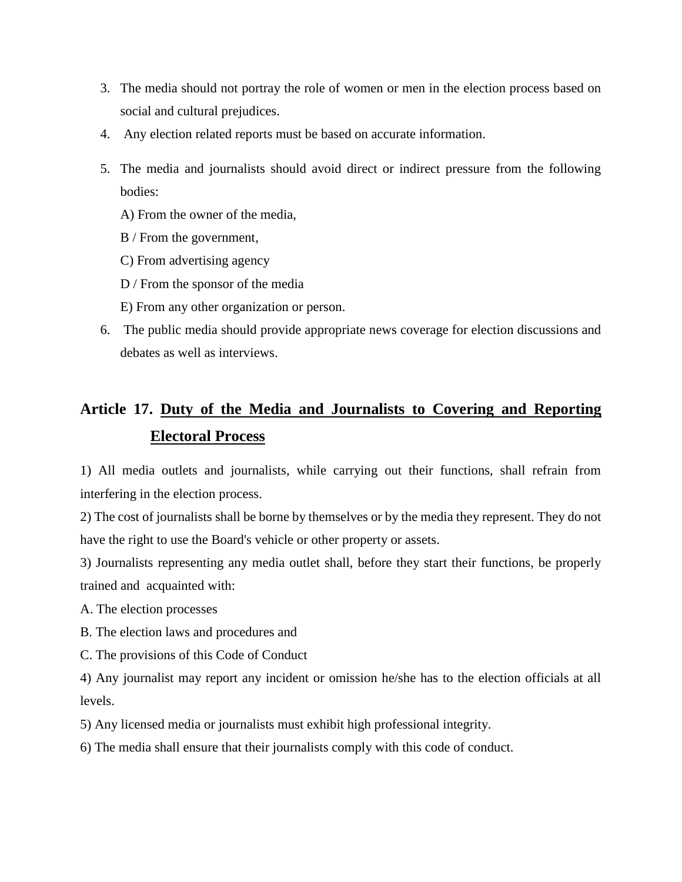- 3. The media should not portray the role of women or men in the election process based on social and cultural prejudices.
- 4. Any election related reports must be based on accurate information.
- 5. The media and journalists should avoid direct or indirect pressure from the following bodies:
	- A) From the owner of the media,
	- B / From the government,
	- C) From advertising agency
	- D / From the sponsor of the media
	- E) From any other organization or person.
- 6. The public media should provide appropriate news coverage for election discussions and debates as well as interviews.

# **Article 17. Duty of the Media and Journalists to Covering and Reporting Electoral Process**

1) All media outlets and journalists, while carrying out their functions, shall refrain from interfering in the election process.

2) The cost of journalists shall be borne by themselves or by the media they represent. They do not have the right to use the Board's vehicle or other property or assets.

3) Journalists representing any media outlet shall, before they start their functions, be properly trained and acquainted with:

A. The election processes

- B. The election laws and procedures and
- C. The provisions of this Code of Conduct

4) Any journalist may report any incident or omission he/she has to the election officials at all levels.

5) Any licensed media or journalists must exhibit high professional integrity.

6) The media shall ensure that their journalists comply with this code of conduct.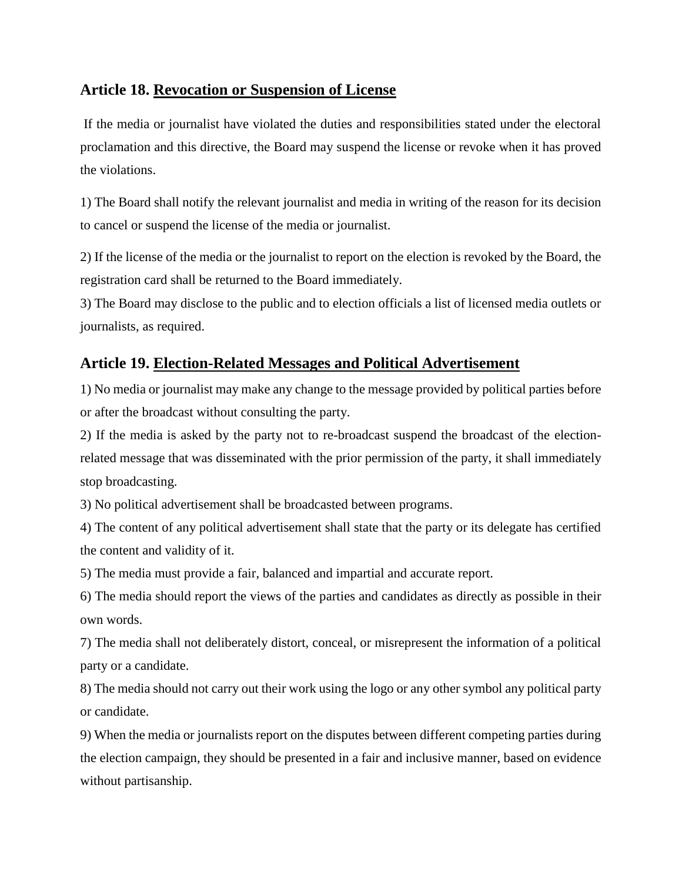#### **Article 18. Revocation or Suspension of License**

If the media or journalist have violated the duties and responsibilities stated under the electoral proclamation and this directive, the Board may suspend the license or revoke when it has proved the violations.

1) The Board shall notify the relevant journalist and media in writing of the reason for its decision to cancel or suspend the license of the media or journalist.

2) If the license of the media or the journalist to report on the election is revoked by the Board, the registration card shall be returned to the Board immediately.

3) The Board may disclose to the public and to election officials a list of licensed media outlets or journalists, as required.

## **Article 19. Election-Related Messages and Political Advertisement**

1) No media or journalist may make any change to the message provided by political parties before or after the broadcast without consulting the party.

2) If the media is asked by the party not to re-broadcast suspend the broadcast of the electionrelated message that was disseminated with the prior permission of the party, it shall immediately stop broadcasting.

3) No political advertisement shall be broadcasted between programs.

4) The content of any political advertisement shall state that the party or its delegate has certified the content and validity of it.

5) The media must provide a fair, balanced and impartial and accurate report.

6) The media should report the views of the parties and candidates as directly as possible in their own words.

7) The media shall not deliberately distort, conceal, or misrepresent the information of a political party or a candidate.

8) The media should not carry out their work using the logo or any other symbol any political party or candidate.

9) When the media or journalists report on the disputes between different competing parties during the election campaign, they should be presented in a fair and inclusive manner, based on evidence without partisanship.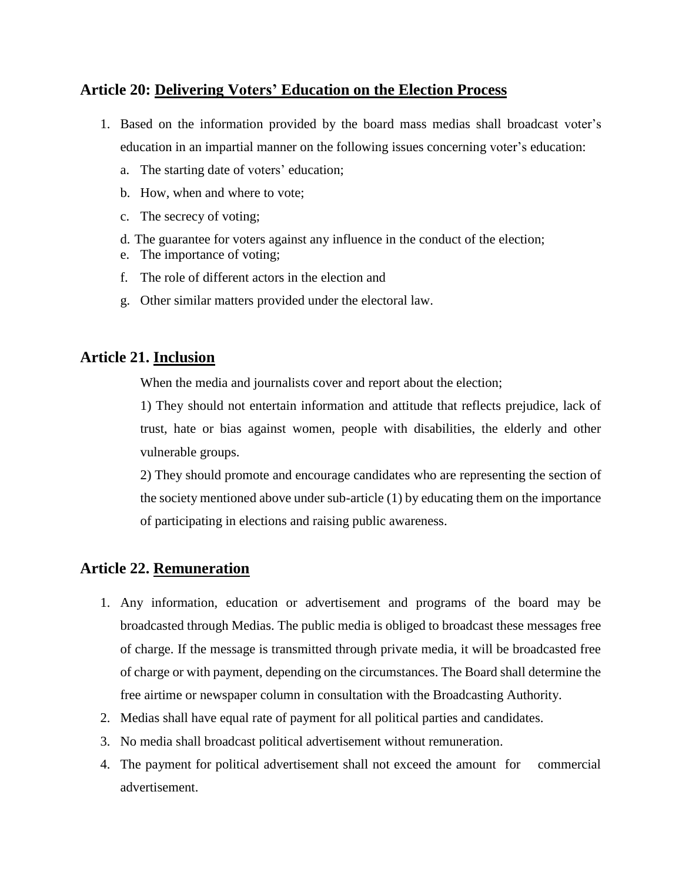#### **Article 20: Delivering Voters' Education on the Election Process**

- 1. Based on the information provided by the board mass medias shall broadcast voter's education in an impartial manner on the following issues concerning voter's education:
	- a. The starting date of voters' education;
	- b. How, when and where to vote;
	- c. The secrecy of voting;
	- d. The guarantee for voters against any influence in the conduct of the election;
	- e. The importance of voting;
	- f. The role of different actors in the election and
	- g. Other similar matters provided under the electoral law.

#### **Article 21. Inclusion**

When the media and journalists cover and report about the election;

1) They should not entertain information and attitude that reflects prejudice, lack of trust, hate or bias against women, people with disabilities, the elderly and other vulnerable groups.

2) They should promote and encourage candidates who are representing the section of the society mentioned above under sub-article (1) by educating them on the importance of participating in elections and raising public awareness.

#### **Article 22. Remuneration**

- 1. Any information, education or advertisement and programs of the board may be broadcasted through Medias. The public media is obliged to broadcast these messages free of charge. If the message is transmitted through private media, it will be broadcasted free of charge or with payment, depending on the circumstances. The Board shall determine the free airtime or newspaper column in consultation with the Broadcasting Authority.
- 2. Medias shall have equal rate of payment for all political parties and candidates.
- 3. No media shall broadcast political advertisement without remuneration.
- 4. The payment for political advertisement shall not exceed the amount for commercial advertisement.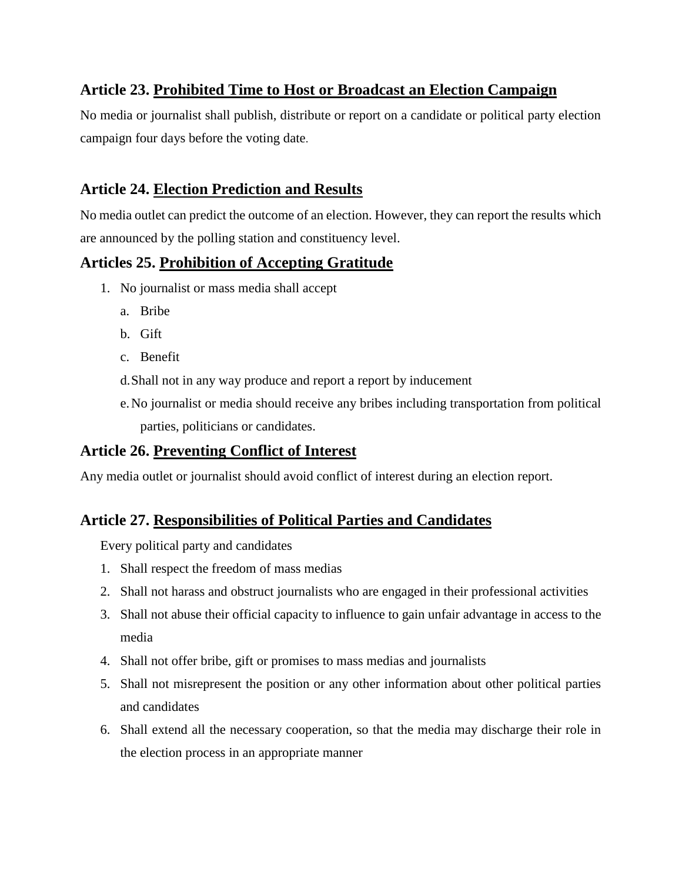## **Article 23. Prohibited Time to Host or Broadcast an Election Campaign**

No media or journalist shall publish, distribute or report on a candidate or political party election campaign four days before the voting date.

### **Article 24. Election Prediction and Results**

No media outlet can predict the outcome of an election. However, they can report the results which are announced by the polling station and constituency level.

#### **Articles 25. Prohibition of Accepting Gratitude**

- 1. No journalist or mass media shall accept
	- a. Bribe
	- b. Gift
	- c. Benefit
	- d.Shall not in any way produce and report a report by inducement
	- e.No journalist or media should receive any bribes including transportation from political parties, politicians or candidates.

#### **Article 26. Preventing Conflict of Interest**

Any media outlet or journalist should avoid conflict of interest during an election report.

## **Article 27. Responsibilities of Political Parties and Candidates**

Every political party and candidates

- 1. Shall respect the freedom of mass medias
- 2. Shall not harass and obstruct journalists who are engaged in their professional activities
- 3. Shall not abuse their official capacity to influence to gain unfair advantage in access to the media
- 4. Shall not offer bribe, gift or promises to mass medias and journalists
- 5. Shall not misrepresent the position or any other information about other political parties and candidates
- 6. Shall extend all the necessary cooperation, so that the media may discharge their role in the election process in an appropriate manner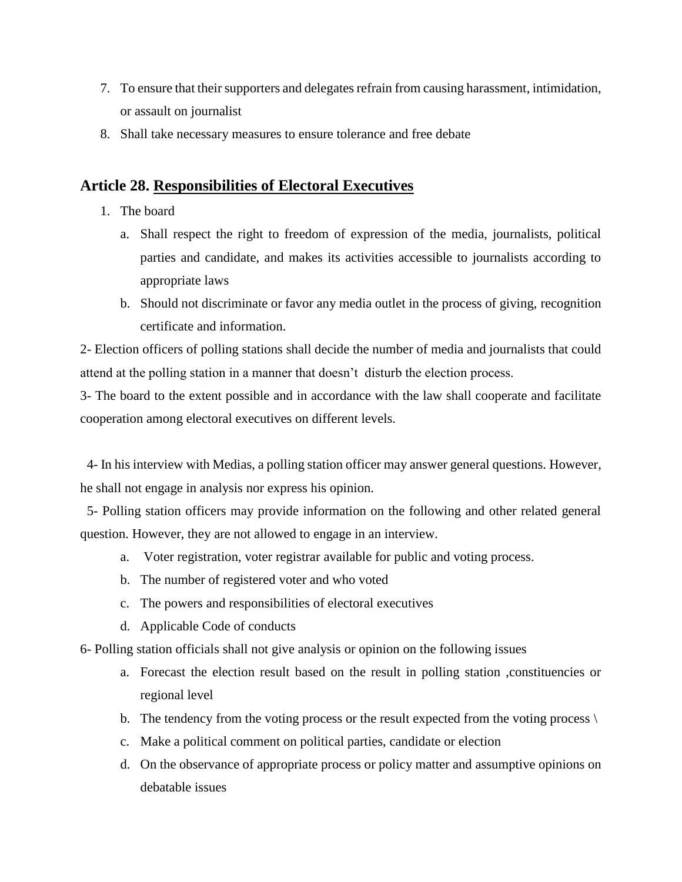- 7. To ensure that their supporters and delegates refrain from causing harassment, intimidation, or assault on journalist
- 8. Shall take necessary measures to ensure tolerance and free debate

#### **Article 28. Responsibilities of Electoral Executives**

- 1. The board
	- a. Shall respect the right to freedom of expression of the media, journalists, political parties and candidate, and makes its activities accessible to journalists according to appropriate laws
	- b. Should not discriminate or favor any media outlet in the process of giving, recognition certificate and information.

2- Election officers of polling stations shall decide the number of media and journalists that could attend at the polling station in a manner that doesn't disturb the election process.

3- The board to the extent possible and in accordance with the law shall cooperate and facilitate cooperation among electoral executives on different levels.

 4- In his interview with Medias, a polling station officer may answer general questions. However, he shall not engage in analysis nor express his opinion.

 5- Polling station officers may provide information on the following and other related general question. However, they are not allowed to engage in an interview.

- a. Voter registration, voter registrar available for public and voting process.
- b. The number of registered voter and who voted
- c. The powers and responsibilities of electoral executives
- d. Applicable Code of conducts

6- Polling station officials shall not give analysis or opinion on the following issues

- a. Forecast the election result based on the result in polling station ,constituencies or regional level
- b. The tendency from the voting process or the result expected from the voting process  $\setminus$
- c. Make a political comment on political parties, candidate or election
- d. On the observance of appropriate process or policy matter and assumptive opinions on debatable issues